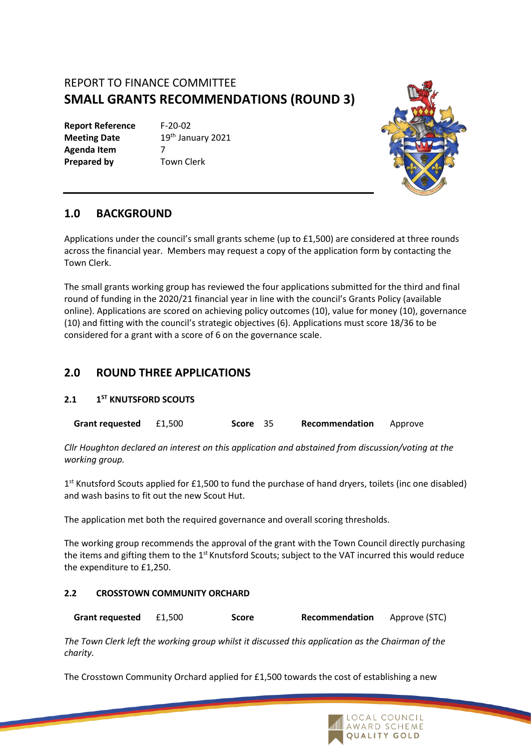# REPORT TO FINANCE COMMITTEE **SMALL GRANTS RECOMMENDATIONS (ROUND 3)**

**Report Reference** F-20-02 **Agenda Item** 7 **Prepared by** Town Clerk

**Meeting Date** 19th January 2021



## **1.0 BACKGROUND**

Applications under the council's small grants scheme (up to £1,500) are considered at three rounds across the financial year. Members may request a copy of the application form by contacting the Town Clerk.

The small grants working group has reviewed the four applications submitted for the third and final round of funding in the 2020/21 financial year in line with the council's Grants Policy (available online). Applications are scored on achieving policy outcomes (10), value for money (10), governance (10) and fitting with the council's strategic objectives (6). Applications must score 18/36 to be considered for a grant with a score of 6 on the governance scale.

## **2.0 ROUND THREE APPLICATIONS**

#### **2.1 1 ST KNUTSFORD SCOUTS**

**Grant requested** £1,500 **Score** 35 **Recommendation** Approve

*Cllr Houghton declared an interest on this application and abstained from discussion/voting at the working group.*

1<sup>st</sup> Knutsford Scouts applied for £1,500 to fund the purchase of hand dryers, toilets (inc one disabled) and wash basins to fit out the new Scout Hut.

The application met both the required governance and overall scoring thresholds.

The working group recommends the approval of the grant with the Town Council directly purchasing the items and gifting them to the 1<sup>st</sup> Knutsford Scouts; subject to the VAT incurred this would reduce the expenditure to £1,250.

### **2.2 CROSSTOWN COMMUNITY ORCHARD**

**Grant requested** £1,500 **Score Recommendation** Approve (STC)

*The Town Clerk left the working group whilst it discussed this application as the Chairman of the charity.* 

The Crosstown Community Orchard applied for £1,500 towards the cost of establishing a new

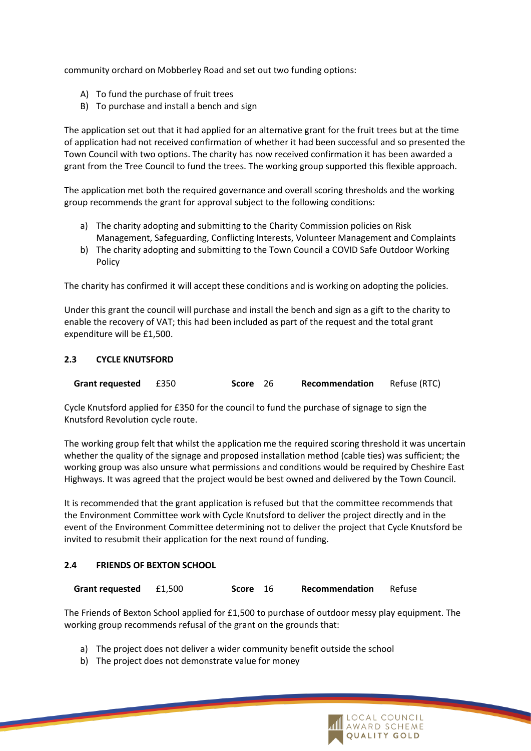community orchard on Mobberley Road and set out two funding options:

- A) To fund the purchase of fruit trees
- B) To purchase and install a bench and sign

The application set out that it had applied for an alternative grant for the fruit trees but at the time of application had not received confirmation of whether it had been successful and so presented the Town Council with two options. The charity has now received confirmation it has been awarded a grant from the Tree Council to fund the trees. The working group supported this flexible approach.

The application met both the required governance and overall scoring thresholds and the working group recommends the grant for approval subject to the following conditions:

- a) The charity adopting and submitting to the Charity Commission policies on Risk Management, Safeguarding, Conflicting Interests, Volunteer Management and Complaints
- b) The charity adopting and submitting to the Town Council a COVID Safe Outdoor Working Policy

The charity has confirmed it will accept these conditions and is working on adopting the policies.

Under this grant the council will purchase and install the bench and sign as a gift to the charity to enable the recovery of VAT; this had been included as part of the request and the total grant expenditure will be £1,500.

#### **2.3 CYCLE KNUTSFORD**

| <b>Grant requested £350</b> |  | Score 26 |  | Recommendation | Refuse (RTC) |
|-----------------------------|--|----------|--|----------------|--------------|
|-----------------------------|--|----------|--|----------------|--------------|

Cycle Knutsford applied for £350 for the council to fund the purchase of signage to sign the Knutsford Revolution cycle route.

The working group felt that whilst the application me the required scoring threshold it was uncertain whether the quality of the signage and proposed installation method (cable ties) was sufficient; the working group was also unsure what permissions and conditions would be required by Cheshire East Highways. It was agreed that the project would be best owned and delivered by the Town Council.

It is recommended that the grant application is refused but that the committee recommends that the Environment Committee work with Cycle Knutsford to deliver the project directly and in the event of the Environment Committee determining not to deliver the project that Cycle Knutsford be invited to resubmit their application for the next round of funding.

#### **2.4 FRIENDS OF BEXTON SCHOOL**

| Grant requested £1,500 |  | Score 16 | Recommendation | Refuse |
|------------------------|--|----------|----------------|--------|
|------------------------|--|----------|----------------|--------|

The Friends of Bexton School applied for £1,500 to purchase of outdoor messy play equipment. The working group recommends refusal of the grant on the grounds that:

- a) The project does not deliver a wider community benefit outside the school
- b) The project does not demonstrate value for money